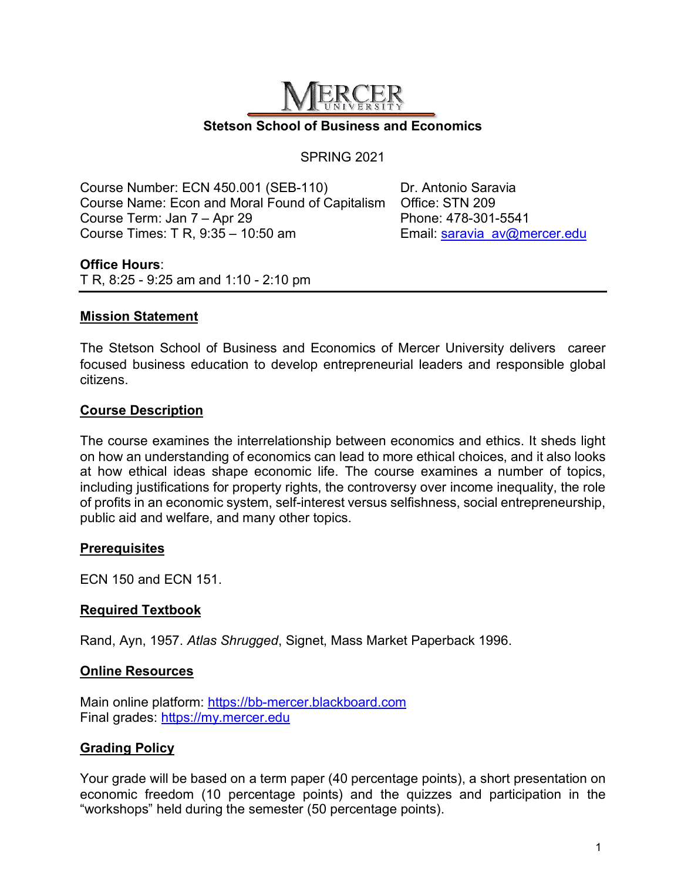

#### SPRING 2021

Course Number: ECN 450.001 (SEB-110) Dr. Antonio Saravia Course Name: Econ and Moral Found of Capitalism Office: STN 209 Course Term: Jan 7 – Apr 29 Phone: 478-301-5541 Course Times: T R, 9:35 – 10:50 am Email: saravia\_av@mercer.edu

#### **Office Hours**:

T R, 8:25 - 9:25 am and 1:10 - 2:10 pm

# **Mission Statement**

The Stetson School of Business and Economics of Mercer University delivers career focused business education to develop entrepreneurial leaders and responsible global citizens.

## **Course Description**

The course examines the interrelationship between economics and ethics. It sheds light on how an understanding of economics can lead to more ethical choices, and it also looks at how ethical ideas shape economic life. The course examines a number of topics, including justifications for property rights, the controversy over income inequality, the role of profits in an economic system, self-interest versus selfishness, social entrepreneurship, public aid and welfare, and many other topics.

## **Prerequisites**

ECN 150 and ECN 151.

## **Required Textbook**

Rand, Ayn, 1957. *Atlas Shrugged*, Signet, Mass Market Paperback 1996.

#### **Online Resources**

Main online platform: https://bb-mercer.blackboard.com Final grades: https://my.mercer.edu

# **Grading Policy**

Your grade will be based on a term paper (40 percentage points), a short presentation on economic freedom (10 percentage points) and the quizzes and participation in the "workshops" held during the semester (50 percentage points).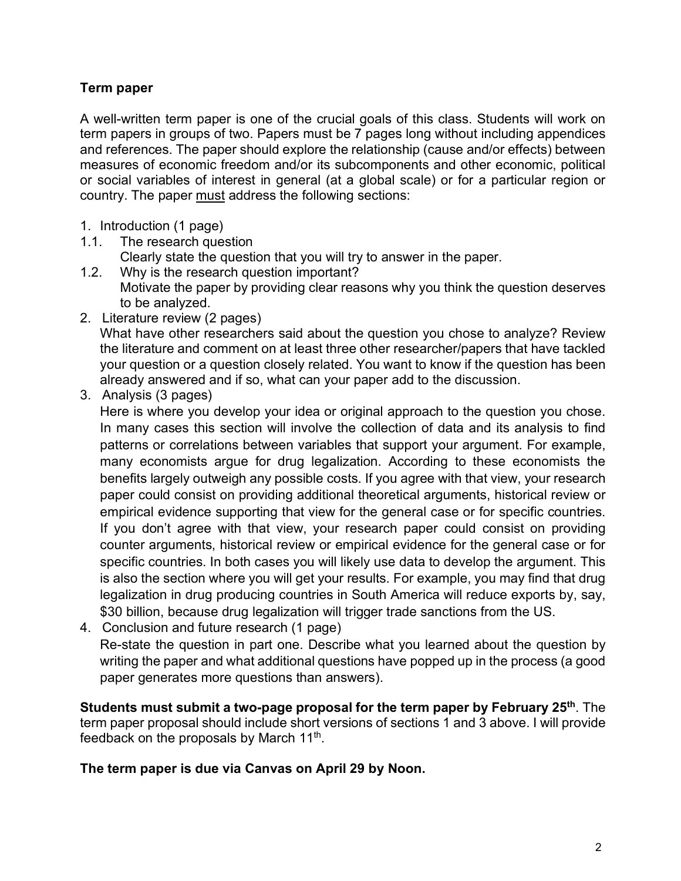# **Term paper**

A well-written term paper is one of the crucial goals of this class. Students will work on term papers in groups of two. Papers must be 7 pages long without including appendices and references. The paper should explore the relationship (cause and/or effects) between measures of economic freedom and/or its subcomponents and other economic, political or social variables of interest in general (at a global scale) or for a particular region or country. The paper must address the following sections:

- 1. Introduction (1 page)
- 1.1. The research question Clearly state the question that you will try to answer in the paper.
- 1.2. Why is the research question important? Motivate the paper by providing clear reasons why you think the question deserves to be analyzed.
- 2. Literature review (2 pages)

What have other researchers said about the question you chose to analyze? Review the literature and comment on at least three other researcher/papers that have tackled your question or a question closely related. You want to know if the question has been already answered and if so, what can your paper add to the discussion.

3. Analysis (3 pages)

Here is where you develop your idea or original approach to the question you chose. In many cases this section will involve the collection of data and its analysis to find patterns or correlations between variables that support your argument. For example, many economists argue for drug legalization. According to these economists the benefits largely outweigh any possible costs. If you agree with that view, your research paper could consist on providing additional theoretical arguments, historical review or empirical evidence supporting that view for the general case or for specific countries. If you don't agree with that view, your research paper could consist on providing counter arguments, historical review or empirical evidence for the general case or for specific countries. In both cases you will likely use data to develop the argument. This is also the section where you will get your results. For example, you may find that drug legalization in drug producing countries in South America will reduce exports by, say, \$30 billion, because drug legalization will trigger trade sanctions from the US.

4. Conclusion and future research (1 page) Re-state the question in part one. Describe what you learned about the question by writing the paper and what additional questions have popped up in the process (a good paper generates more questions than answers).

**Students must submit a two-page proposal for the term paper by February 25th**. The term paper proposal should include short versions of sections 1 and 3 above. I will provide feedback on the proposals by March 11<sup>th</sup>.

**The term paper is due via Canvas on April 29 by Noon.**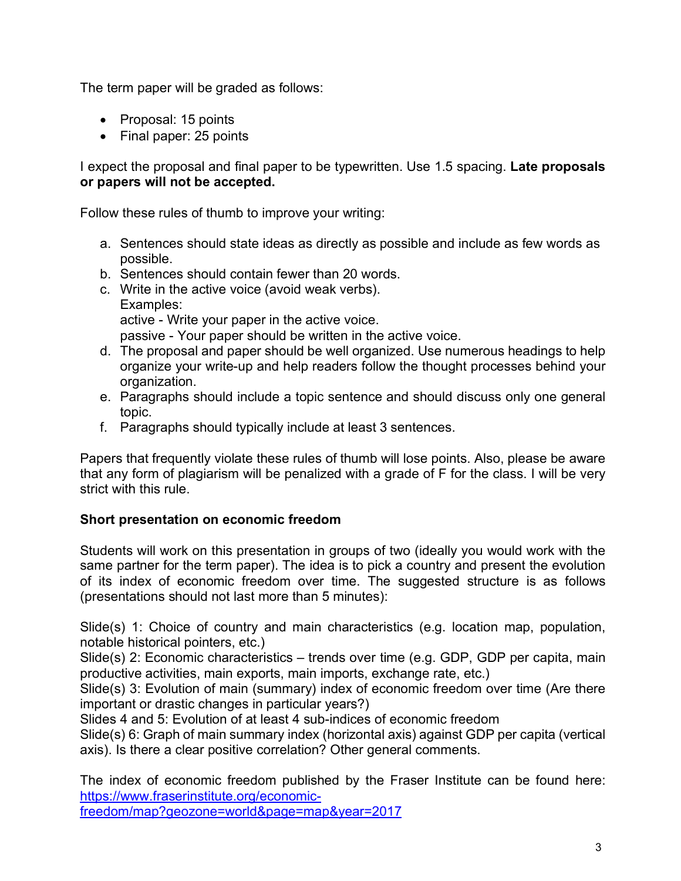The term paper will be graded as follows:

- Proposal: 15 points
- Final paper: 25 points

I expect the proposal and final paper to be typewritten. Use 1.5 spacing. **Late proposals or papers will not be accepted.**

Follow these rules of thumb to improve your writing:

- a. Sentences should state ideas as directly as possible and include as few words as possible.
- b. Sentences should contain fewer than 20 words.
- c. Write in the active voice (avoid weak verbs). Examples: active - Write your paper in the active voice. passive - Your paper should be written in the active voice.
- d. The proposal and paper should be well organized. Use numerous headings to help organize your write-up and help readers follow the thought processes behind your organization.
- e. Paragraphs should include a topic sentence and should discuss only one general topic.
- f. Paragraphs should typically include at least 3 sentences.

Papers that frequently violate these rules of thumb will lose points. Also, please be aware that any form of plagiarism will be penalized with a grade of F for the class. I will be very strict with this rule.

# **Short presentation on economic freedom**

Students will work on this presentation in groups of two (ideally you would work with the same partner for the term paper). The idea is to pick a country and present the evolution of its index of economic freedom over time. The suggested structure is as follows (presentations should not last more than 5 minutes):

Slide(s) 1: Choice of country and main characteristics (e.g. location map, population, notable historical pointers, etc.)

Slide(s) 2: Economic characteristics – trends over time (e.g. GDP, GDP per capita, main productive activities, main exports, main imports, exchange rate, etc.)

Slide(s) 3: Evolution of main (summary) index of economic freedom over time (Are there important or drastic changes in particular years?)

Slides 4 and 5: Evolution of at least 4 sub-indices of economic freedom

Slide(s) 6: Graph of main summary index (horizontal axis) against GDP per capita (vertical axis). Is there a clear positive correlation? Other general comments.

The index of economic freedom published by the Fraser Institute can be found here: https://www.fraserinstitute.org/economic-

freedom/map?geozone=world&page=map&year=2017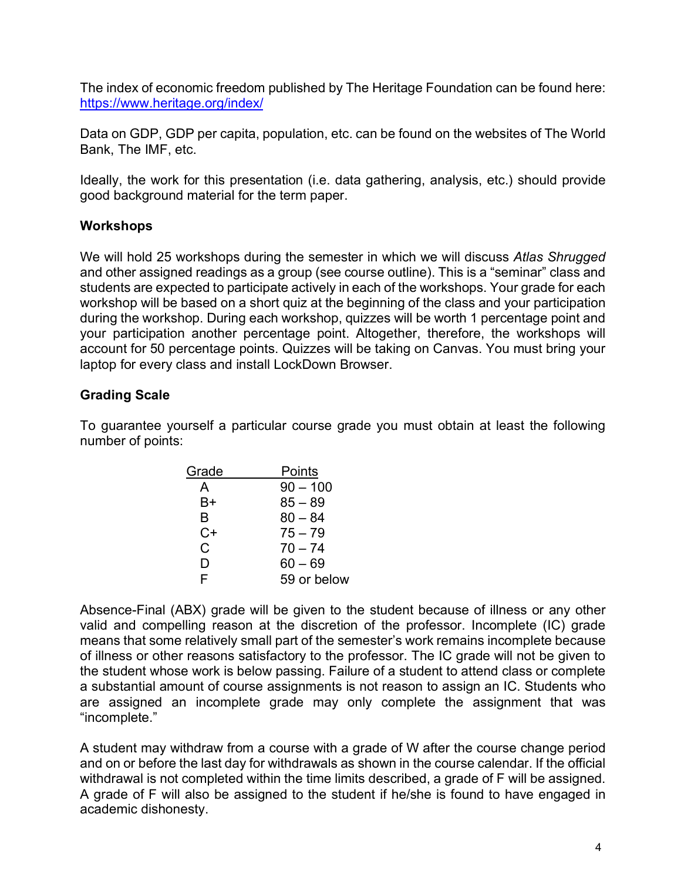The index of economic freedom published by The Heritage Foundation can be found here: https://www.heritage.org/index/

Data on GDP, GDP per capita, population, etc. can be found on the websites of The World Bank, The IMF, etc.

Ideally, the work for this presentation (i.e. data gathering, analysis, etc.) should provide good background material for the term paper.

# **Workshops**

We will hold 25 workshops during the semester in which we will discuss *Atlas Shrugged* and other assigned readings as a group (see course outline). This is a "seminar" class and students are expected to participate actively in each of the workshops. Your grade for each workshop will be based on a short quiz at the beginning of the class and your participation during the workshop. During each workshop, quizzes will be worth 1 percentage point and your participation another percentage point. Altogether, therefore, the workshops will account for 50 percentage points. Quizzes will be taking on Canvas. You must bring your laptop for every class and install LockDown Browser.

# **Grading Scale**

To guarantee yourself a particular course grade you must obtain at least the following number of points:

| Points      |
|-------------|
| $90 - 100$  |
| $85 - 89$   |
| $80 - 84$   |
| $75 - 79$   |
| $70 - 74$   |
| $60 - 69$   |
| 59 or below |
|             |

Absence-Final (ABX) grade will be given to the student because of illness or any other valid and compelling reason at the discretion of the professor. Incomplete (IC) grade means that some relatively small part of the semester's work remains incomplete because of illness or other reasons satisfactory to the professor. The IC grade will not be given to the student whose work is below passing. Failure of a student to attend class or complete a substantial amount of course assignments is not reason to assign an IC. Students who are assigned an incomplete grade may only complete the assignment that was "incomplete."

A student may withdraw from a course with a grade of W after the course change period and on or before the last day for withdrawals as shown in the course calendar. If the official withdrawal is not completed within the time limits described, a grade of F will be assigned. A grade of F will also be assigned to the student if he/she is found to have engaged in academic dishonesty.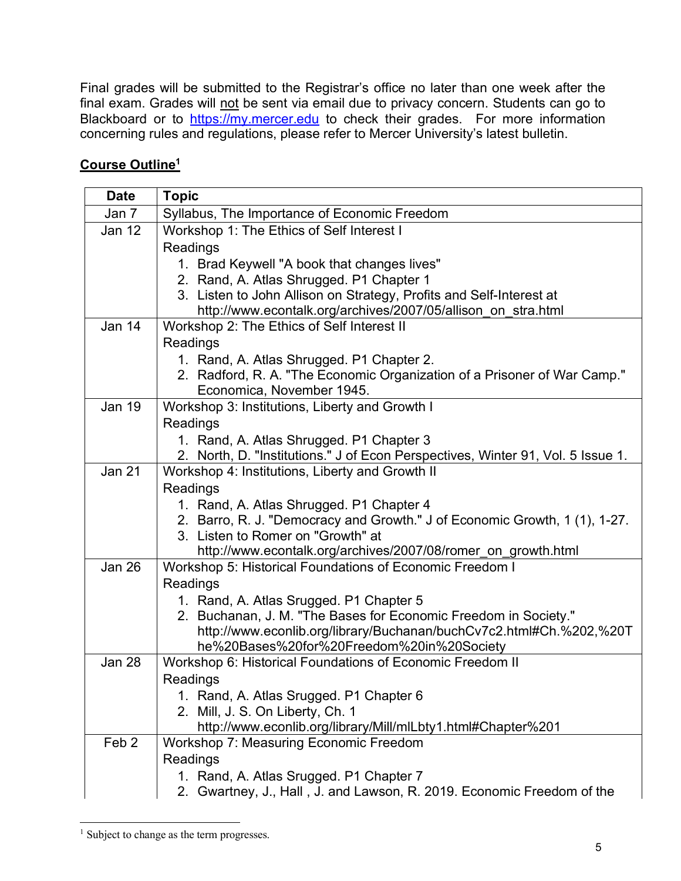Final grades will be submitted to the Registrar's office no later than one week after the final exam. Grades will not be sent via email due to privacy concern. Students can go to Blackboard or to https://my.mercer.edu to check their grades. For more information concerning rules and regulations, please refer to Mercer University's latest bulletin.

# **Course Outline1**

| <b>Date</b>      | <b>Topic</b>                                                                                               |
|------------------|------------------------------------------------------------------------------------------------------------|
| Jan 7            | Syllabus, The Importance of Economic Freedom                                                               |
| Jan 12           | Workshop 1: The Ethics of Self Interest I                                                                  |
|                  | Readings                                                                                                   |
|                  | 1. Brad Keywell "A book that changes lives"                                                                |
|                  | 2. Rand, A. Atlas Shrugged. P1 Chapter 1                                                                   |
|                  | 3. Listen to John Allison on Strategy, Profits and Self-Interest at                                        |
|                  | http://www.econtalk.org/archives/2007/05/allison_on_stra.html                                              |
| Jan 14           | Workshop 2: The Ethics of Self Interest II                                                                 |
|                  | Readings                                                                                                   |
|                  | 1. Rand, A. Atlas Shrugged. P1 Chapter 2.                                                                  |
|                  | 2. Radford, R. A. "The Economic Organization of a Prisoner of War Camp."<br>Economica, November 1945.      |
| <b>Jan 19</b>    | Workshop 3: Institutions, Liberty and Growth I                                                             |
|                  | Readings                                                                                                   |
|                  | 1. Rand, A. Atlas Shrugged. P1 Chapter 3                                                                   |
|                  | 2. North, D. "Institutions." J of Econ Perspectives, Winter 91, Vol. 5 Issue 1.                            |
| <b>Jan 21</b>    | Workshop 4: Institutions, Liberty and Growth II                                                            |
|                  | Readings                                                                                                   |
|                  | 1. Rand, A. Atlas Shrugged. P1 Chapter 4                                                                   |
|                  | 2. Barro, R. J. "Democracy and Growth." J of Economic Growth, 1 (1), 1-27.                                 |
|                  | 3. Listen to Romer on "Growth" at                                                                          |
|                  | http://www.econtalk.org/archives/2007/08/romer_on_growth.html                                              |
| Jan 26           | Workshop 5: Historical Foundations of Economic Freedom I                                                   |
|                  | Readings                                                                                                   |
|                  | 1. Rand, A. Atlas Srugged. P1 Chapter 5<br>2. Buchanan, J. M. "The Bases for Economic Freedom in Society." |
|                  | http://www.econlib.org/library/Buchanan/buchCv7c2.html#Ch.%202,%20T                                        |
|                  | he%20Bases%20for%20Freedom%20in%20Society                                                                  |
| Jan 28           | Workshop 6: Historical Foundations of Economic Freedom II                                                  |
|                  | Readings                                                                                                   |
|                  | 1. Rand, A. Atlas Srugged. P1 Chapter 6                                                                    |
|                  | 2. Mill, J. S. On Liberty, Ch. 1                                                                           |
|                  | http://www.econlib.org/library/Mill/mlLbty1.html#Chapter%201                                               |
| Feb <sub>2</sub> | Workshop 7: Measuring Economic Freedom                                                                     |
|                  | Readings                                                                                                   |
|                  | 1. Rand, A. Atlas Srugged. P1 Chapter 7                                                                    |
|                  | 2. Gwartney, J., Hall, J. and Lawson, R. 2019. Economic Freedom of the                                     |

<sup>&</sup>lt;sup>1</sup> Subject to change as the term progresses.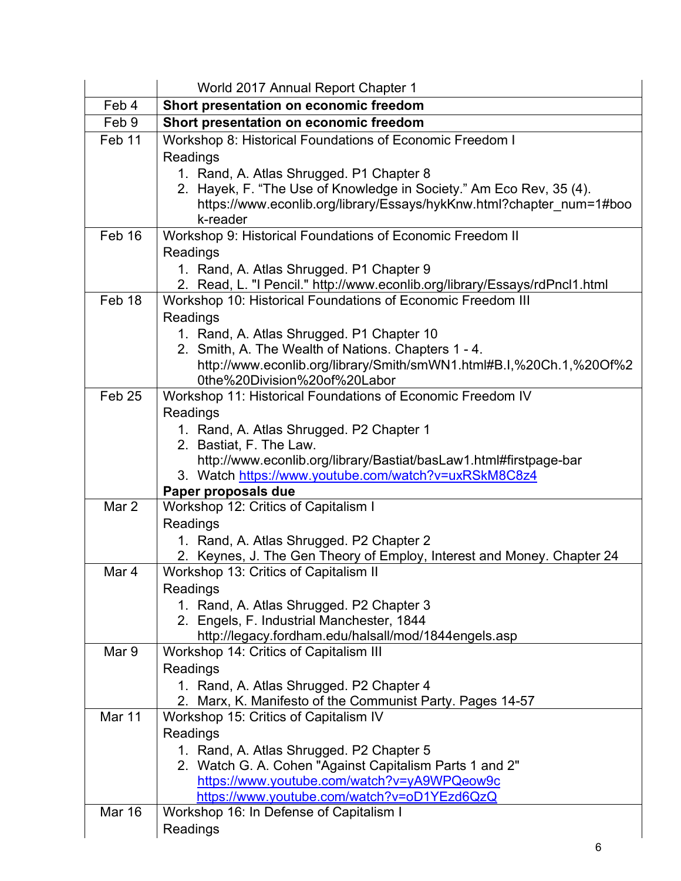|                   | World 2017 Annual Report Chapter 1                                                                     |
|-------------------|--------------------------------------------------------------------------------------------------------|
| Feb 4             | Short presentation on economic freedom                                                                 |
| Feb 9             | Short presentation on economic freedom                                                                 |
| Feb 11            | Workshop 8: Historical Foundations of Economic Freedom I                                               |
|                   | Readings                                                                                               |
|                   | 1. Rand, A. Atlas Shrugged. P1 Chapter 8                                                               |
|                   | 2. Hayek, F. "The Use of Knowledge in Society." Am Eco Rev, 35 (4).                                    |
|                   | https://www.econlib.org/library/Essays/hykKnw.html?chapter_num=1#boo                                   |
| Feb 16            | k-reader<br>Workshop 9: Historical Foundations of Economic Freedom II                                  |
|                   | Readings                                                                                               |
|                   | 1. Rand, A. Atlas Shrugged. P1 Chapter 9                                                               |
|                   | 2. Read, L. "I Pencil." http://www.econlib.org/library/Essays/rdPncl1.html                             |
| Feb 18            | Workshop 10: Historical Foundations of Economic Freedom III                                            |
|                   | Readings                                                                                               |
|                   | 1. Rand, A. Atlas Shrugged. P1 Chapter 10                                                              |
|                   | 2. Smith, A. The Wealth of Nations. Chapters 1 - 4.                                                    |
|                   | http://www.econlib.org/library/Smith/smWN1.html#B.I,%20Ch.1,%20Of%2                                    |
|                   | 0the%20Division%20of%20Labor                                                                           |
| Feb <sub>25</sub> | Workshop 11: Historical Foundations of Economic Freedom IV                                             |
|                   | Readings                                                                                               |
|                   | 1. Rand, A. Atlas Shrugged. P2 Chapter 1<br>2. Bastiat, F. The Law.                                    |
|                   | http://www.econlib.org/library/Bastiat/basLaw1.html#firstpage-bar                                      |
|                   | 3. Watch https://www.youtube.com/watch?v=uxRSkM8C8z4                                                   |
|                   | Paper proposals due                                                                                    |
| Mar 2             | Workshop 12: Critics of Capitalism I                                                                   |
|                   | Readings                                                                                               |
|                   | 1. Rand, A. Atlas Shrugged. P2 Chapter 2                                                               |
|                   | 2. Keynes, J. The Gen Theory of Employ, Interest and Money. Chapter 24                                 |
| Mar 4             | Workshop 13: Critics of Capitalism II                                                                  |
|                   | Readings<br>1. Rand, A. Atlas Shrugged. P2 Chapter 3                                                   |
|                   | 2. Engels, F. Industrial Manchester, 1844                                                              |
|                   | http://legacy.fordham.edu/halsall/mod/1844engels.asp                                                   |
| Mar 9             | Workshop 14: Critics of Capitalism III                                                                 |
|                   | Readings                                                                                               |
|                   | 1. Rand, A. Atlas Shrugged. P2 Chapter 4                                                               |
|                   | 2. Marx, K. Manifesto of the Communist Party. Pages 14-57                                              |
| Mar 11            | Workshop 15: Critics of Capitalism IV                                                                  |
|                   | Readings                                                                                               |
|                   | 1. Rand, A. Atlas Shrugged. P2 Chapter 5                                                               |
|                   | 2. Watch G. A. Cohen "Against Capitalism Parts 1 and 2"<br>https://www.youtube.com/watch?v=yA9WPQeow9c |
|                   | https://www.youtube.com/watch?v=oD1YEzd6QzQ                                                            |
| <b>Mar 16</b>     | Workshop 16: In Defense of Capitalism I                                                                |
|                   | Readings                                                                                               |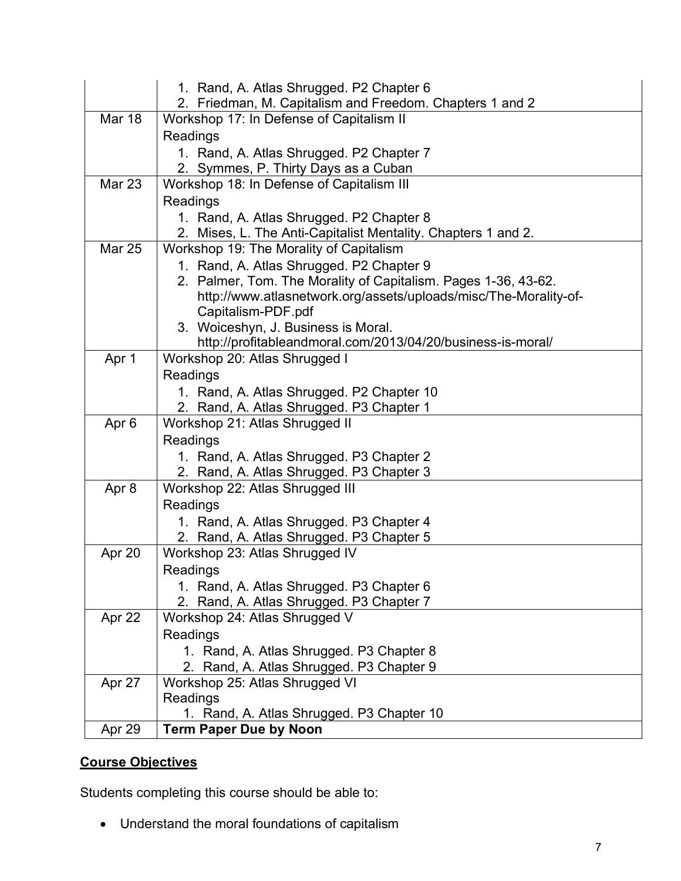|                  | 1. Rand, A. Atlas Shrugged. P2 Chapter 6                                                           |
|------------------|----------------------------------------------------------------------------------------------------|
|                  | 2. Friedman, M. Capitalism and Freedom. Chapters 1 and 2                                           |
| Mar 18           | Workshop 17: In Defense of Capitalism II                                                           |
|                  | Readings                                                                                           |
|                  | 1. Rand, A. Atlas Shrugged. P2 Chapter 7                                                           |
|                  | 2. Symmes, P. Thirty Days as a Cuban                                                               |
| <b>Mar 23</b>    | Workshop 18: In Defense of Capitalism III                                                          |
|                  | Readings                                                                                           |
|                  | 1. Rand, A. Atlas Shrugged. P2 Chapter 8                                                           |
|                  | 2. Mises, L. The Anti-Capitalist Mentality. Chapters 1 and 2.                                      |
| <b>Mar 25</b>    | Workshop 19: The Morality of Capitalism                                                            |
|                  | 1. Rand, A. Atlas Shrugged. P2 Chapter 9                                                           |
|                  | 2. Palmer, Tom. The Morality of Capitalism. Pages 1-36, 43-62.                                     |
|                  | http://www.atlasnetwork.org/assets/uploads/misc/The-Morality-of-                                   |
|                  | Capitalism-PDF.pdf                                                                                 |
|                  | 3. Woiceshyn, J. Business is Moral.<br>http://profitableandmoral.com/2013/04/20/business-is-moral/ |
| Apr 1            | Workshop 20: Atlas Shrugged I                                                                      |
|                  | Readings                                                                                           |
|                  | 1. Rand, A. Atlas Shrugged. P2 Chapter 10                                                          |
|                  | 2. Rand, A. Atlas Shrugged. P3 Chapter 1                                                           |
| Apr <sub>6</sub> | Workshop 21: Atlas Shrugged II                                                                     |
|                  | Readings                                                                                           |
|                  | 1. Rand, A. Atlas Shrugged. P3 Chapter 2                                                           |
|                  | 2. Rand, A. Atlas Shrugged. P3 Chapter 3                                                           |
| Apr 8            | Workshop 22: Atlas Shrugged III                                                                    |
|                  | Readings                                                                                           |
|                  | 1. Rand, A. Atlas Shrugged. P3 Chapter 4                                                           |
|                  | 2. Rand, A. Atlas Shrugged. P3 Chapter 5                                                           |
| Apr 20           | Workshop 23: Atlas Shrugged IV                                                                     |
|                  | Readings                                                                                           |
|                  | 1. Rand, A. Atlas Shrugged. P3 Chapter 6                                                           |
|                  | 2. Rand, A. Atlas Shrugged. P3 Chapter 7                                                           |
| Apr 22           | Workshop 24: Atlas Shrugged V                                                                      |
|                  | Readings                                                                                           |
|                  | 1. Rand, A. Atlas Shrugged. P3 Chapter 8                                                           |
|                  | Rand, A. Atlas Shrugged. P3 Chapter 9                                                              |
| Apr 27           | Workshop 25: Atlas Shrugged VI                                                                     |
|                  | Readings                                                                                           |
|                  | 1. Rand, A. Atlas Shrugged. P3 Chapter 10                                                          |
| Apr 29           | <b>Term Paper Due by Noon</b>                                                                      |

# **Course Objectives**

Students completing this course should be able to:

• Understand the moral foundations of capitalism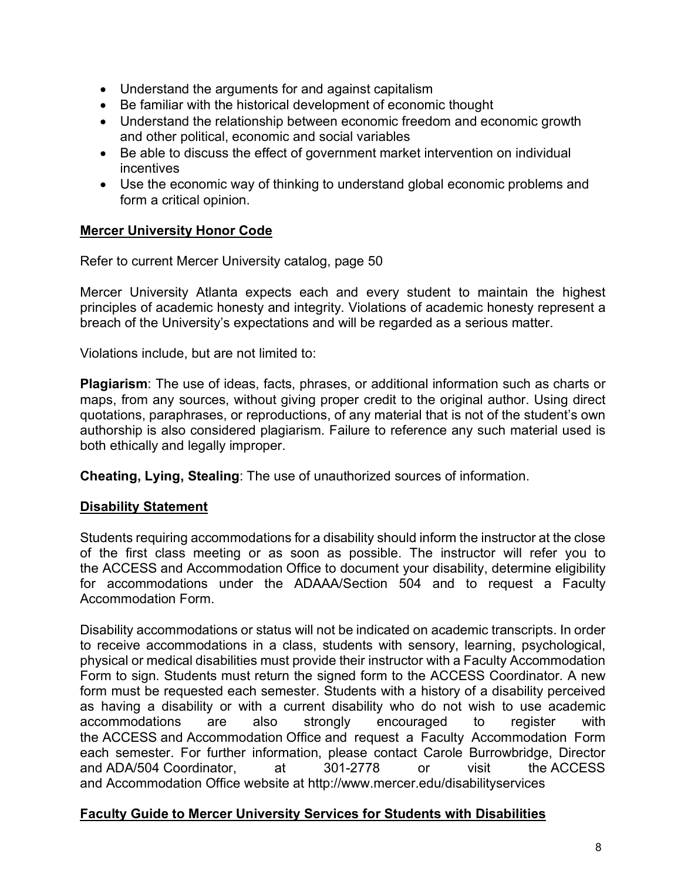- Understand the arguments for and against capitalism
- Be familiar with the historical development of economic thought
- Understand the relationship between economic freedom and economic growth and other political, economic and social variables
- Be able to discuss the effect of government market intervention on individual incentives
- Use the economic way of thinking to understand global economic problems and form a critical opinion.

# **Mercer University Honor Code**

Refer to current Mercer University catalog, page 50

Mercer University Atlanta expects each and every student to maintain the highest principles of academic honesty and integrity. Violations of academic honesty represent a breach of the University's expectations and will be regarded as a serious matter.

Violations include, but are not limited to:

**Plagiarism**: The use of ideas, facts, phrases, or additional information such as charts or maps, from any sources, without giving proper credit to the original author. Using direct quotations, paraphrases, or reproductions, of any material that is not of the student's own authorship is also considered plagiarism. Failure to reference any such material used is both ethically and legally improper.

**Cheating, Lying, Stealing**: The use of unauthorized sources of information.

## **Disability Statement**

Students requiring accommodations for a disability should inform the instructor at the close of the first class meeting or as soon as possible. The instructor will refer you to the ACCESS and Accommodation Office to document your disability, determine eligibility for accommodations under the ADAAA/Section 504 and to request a Faculty Accommodation Form.

Disability accommodations or status will not be indicated on academic transcripts. In order to receive accommodations in a class, students with sensory, learning, psychological, physical or medical disabilities must provide their instructor with a Faculty Accommodation Form to sign. Students must return the signed form to the ACCESS Coordinator. A new form must be requested each semester. Students with a history of a disability perceived as having a disability or with a current disability who do not wish to use academic accommodations are also strongly encouraged to register with the ACCESS and Accommodation Office and request a Faculty Accommodation Form each semester. For further information, please contact Carole Burrowbridge, Director and ADA/504 Coordinator, at 301-2778 or visit the ACCESS and Accommodation Office website at http://www.mercer.edu/disabilityservices

## **Faculty Guide to Mercer University Services for Students with Disabilities**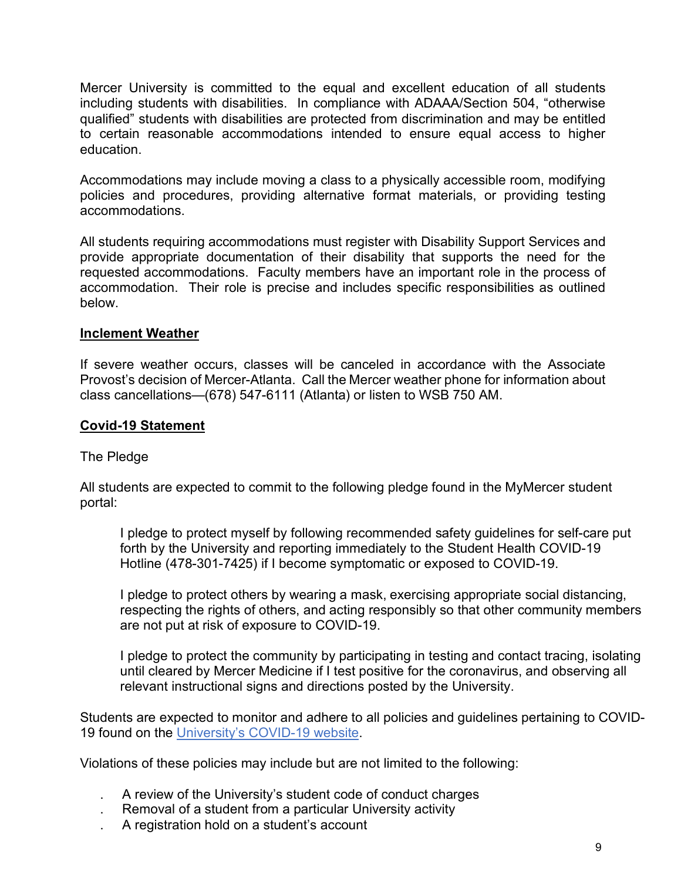Mercer University is committed to the equal and excellent education of all students including students with disabilities. In compliance with ADAAA/Section 504, "otherwise qualified" students with disabilities are protected from discrimination and may be entitled to certain reasonable accommodations intended to ensure equal access to higher education.

Accommodations may include moving a class to a physically accessible room, modifying policies and procedures, providing alternative format materials, or providing testing accommodations.

All students requiring accommodations must register with Disability Support Services and provide appropriate documentation of their disability that supports the need for the requested accommodations. Faculty members have an important role in the process of accommodation. Their role is precise and includes specific responsibilities as outlined below.

# **Inclement Weather**

If severe weather occurs, classes will be canceled in accordance with the Associate Provost's decision of Mercer-Atlanta. Call the Mercer weather phone for information about class cancellations—(678) 547-6111 (Atlanta) or listen to WSB 750 AM.

# **Covid-19 Statement**

## The Pledge

All students are expected to commit to the following pledge found in the MyMercer student portal:

I pledge to protect myself by following recommended safety guidelines for self-care put forth by the University and reporting immediately to the Student Health COVID-19 Hotline (478-301-7425) if I become symptomatic or exposed to COVID-19.

I pledge to protect others by wearing a mask, exercising appropriate social distancing, respecting the rights of others, and acting responsibly so that other community members are not put at risk of exposure to COVID-19.

I pledge to protect the community by participating in testing and contact tracing, isolating until cleared by Mercer Medicine if I test positive for the coronavirus, and observing all relevant instructional signs and directions posted by the University.

Students are expected to monitor and adhere to all policies and guidelines pertaining to COVID-19 found on the University's COVID-19 website.

Violations of these policies may include but are not limited to the following:

- . A review of the University's student code of conduct charges
- . Removal of a student from a particular University activity
- . A registration hold on a student's account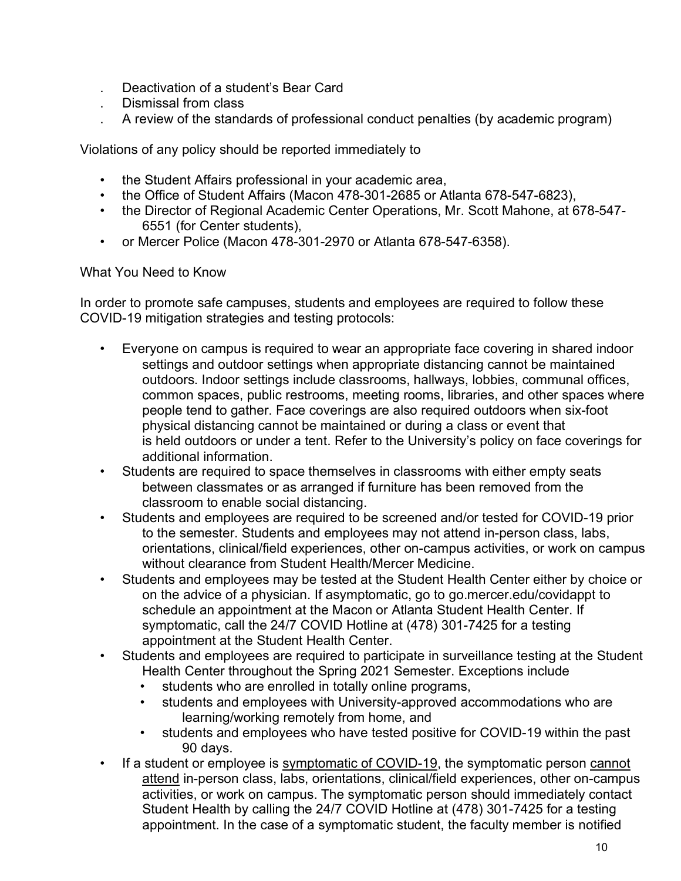- . Deactivation of a student's Bear Card
- . Dismissal from class
- . A review of the standards of professional conduct penalties (by academic program)

Violations of any policy should be reported immediately to

- the Student Affairs professional in your academic area,
- the Office of Student Affairs (Macon 478-301-2685 or Atlanta 678-547-6823),
- the Director of Regional Academic Center Operations, Mr. Scott Mahone, at 678-547- 6551 (for Center students),
- or Mercer Police (Macon 478-301-2970 or Atlanta 678-547-6358).

What You Need to Know

In order to promote safe campuses, students and employees are required to follow these COVID-19 mitigation strategies and testing protocols:

- Everyone on campus is required to wear an appropriate face covering in shared indoor settings and outdoor settings when appropriate distancing cannot be maintained outdoors. Indoor settings include classrooms, hallways, lobbies, communal offices, common spaces, public restrooms, meeting rooms, libraries, and other spaces where people tend to gather. Face coverings are also required outdoors when six-foot physical distancing cannot be maintained or during a class or event that is held outdoors or under a tent. Refer to the University's policy on face coverings for additional information.
- Students are required to space themselves in classrooms with either empty seats between classmates or as arranged if furniture has been removed from the classroom to enable social distancing.
- Students and employees are required to be screened and/or tested for COVID-19 prior to the semester. Students and employees may not attend in-person class, labs, orientations, clinical/field experiences, other on-campus activities, or work on campus without clearance from Student Health/Mercer Medicine.
- Students and employees may be tested at the Student Health Center either by choice or on the advice of a physician. If asymptomatic, go to go.mercer.edu/covidappt to schedule an appointment at the Macon or Atlanta Student Health Center. If symptomatic, call the 24/7 COVID Hotline at (478) 301-7425 for a testing appointment at the Student Health Center.
- Students and employees are required to participate in surveillance testing at the Student Health Center throughout the Spring 2021 Semester. Exceptions include
	- students who are enrolled in totally online programs,
	- students and employees with University-approved accommodations who are learning/working remotely from home, and
	- students and employees who have tested positive for COVID-19 within the past 90 days.
- If a student or employee is symptomatic of COVID-19, the symptomatic person cannot attend in-person class, labs, orientations, clinical/field experiences, other on-campus activities, or work on campus. The symptomatic person should immediately contact Student Health by calling the 24/7 COVID Hotline at (478) 301-7425 for a testing appointment. In the case of a symptomatic student, the faculty member is notified